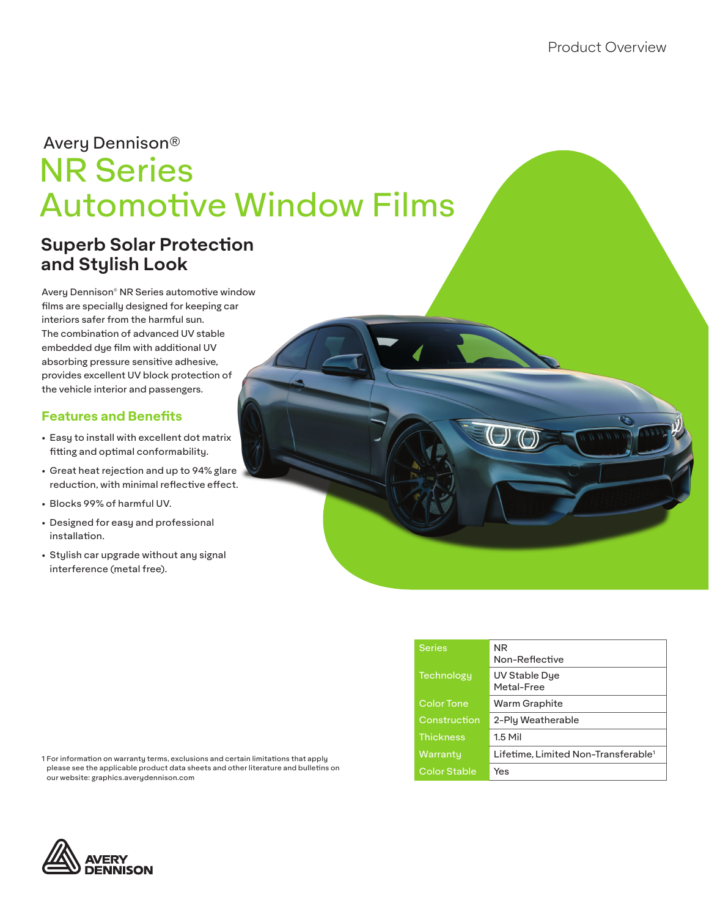# NR Series Automotive Window Films Avery Dennison®

# **Superb Solar Protection and Stylish Look**

Avery Dennison® NR Series automotive window films are specially designed for keeping car interiors safer from the harmful sun. The combination of advanced UV stable embedded dye film with additional UV absorbing pressure sensitive adhesive, provides excellent UV block protection of the vehicle interior and passengers.

### **Features and Benefits**

- Easy to install with excellent dot matrix fitting and optimal conformability.
- Great heat rejection and up to 94% glare reduction, with minimal reflective effect.
- Blocks 99% of harmful UV.
- Designed for easy and professional installation.
- Stylish car upgrade without any signal interference (metal free).

| Series              | NR.<br>Non-Reflective                           |  |  |  |  |  |  |
|---------------------|-------------------------------------------------|--|--|--|--|--|--|
| Technology          | UV Stable Dye<br>Metal-Free                     |  |  |  |  |  |  |
| <b>Color Tone</b>   | Warm Graphite                                   |  |  |  |  |  |  |
| Construction        | 2-Ply Weatherable                               |  |  |  |  |  |  |
| <b>Thickness</b>    | $1.5$ Mil                                       |  |  |  |  |  |  |
| Warranty            | Lifetime. Limited Non-Transferable <sup>1</sup> |  |  |  |  |  |  |
| <b>Color Stable</b> | Yes                                             |  |  |  |  |  |  |

1 For information on warranty terms, exclusions and certain limitations that apply please see the applicable product data sheets and other literature and bulletins on our website: graphics.averydennison.com